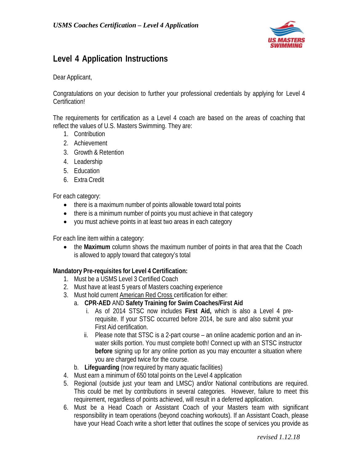

#### **Level 4 Application Instructions**

Dear Applicant,

Congratulations on your decision to further your professional credentials by applying for Level 4 Certification!

The requirements for certification as a Level 4 coach are based on the areas of coaching that reflect the values of U.S. Masters Swimming. They are:

- 1. Contribution
- 2. Achievement
- 3. Growth & Retention
- 4. Leadership
- 5. Education
- 6. Extra Credit

For each category:

- there is a maximum number of points allowable toward total points
- there is a minimum number of points you must achieve in that category
- you must achieve points in at least two areas in each category

For each line item within a category:

• the **Maximum** column shows the maximum number of points in that area that the Coach is allowed to apply toward that category's total

#### **Mandatory Pre-requisites for Level 4 Certification:**

- 1. Must be a USMS Level 3 Certified Coach
- 2. Must have at least 5 years of Masters coaching experience
- 3. Must hold current American Red Cross certification for either:
	- a. **CPR-AED** AND **Safety Training for Swim Coaches/First Aid**
		- i. As of 2014 STSC now includes **First Aid,** which is also a Level 4 prerequisite. If your STSC occurred before 2014, be sure and also submit your First Aid certification.
		- ii. Please note that STSC is a 2-part course an online academic portion and an inwater skills portion. You must complete both! Connect up with an STSC instructor **before** signing up for any online portion as you may encounter a situation where you are charged twice for the course.
	- b. **Lifeguarding** (now required by many aquatic facilities)
- 4. Must earn a minimum of 650 total points on the Level 4 application
- 5. Regional (outside just your team and LMSC) and/or National contributions are required. This could be met by contributions in several categories. However, failure to meet this requirement, regardless of points achieved, will result in a deferred application.
- 6. Must be a Head Coach or Assistant Coach of your Masters team with significant responsibility in team operations (beyond coaching workouts). If an Assistant Coach, please have your Head Coach write a short letter that outlines the scope of services you provide as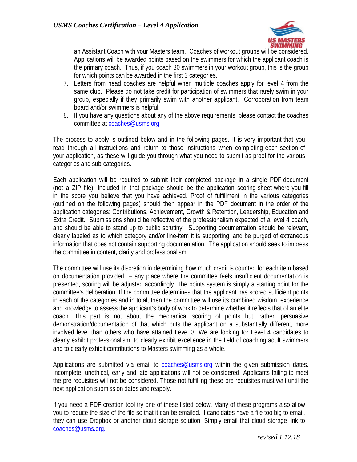

an Assistant Coach with your Masters team. Coaches of workout groups will be considered. Applications will be awarded points based on the swimmers for which the applicant coach is the primary coach. Thus, if you coach 30 swimmers in your workout group, this is the group for which points can be awarded in the first 3 categories.

- 7. Letters from head coaches are helpful when multiple coaches apply for level 4 from the same club. Please do not take credit for participation of swimmers that rarely swim in your group, especially if they primarily swim with another applicant. Corroboration from team board and/or swimmers is helpful.
- 8. If you have any questions about any of the above requirements, please contact the coaches committee at [coaches@usms.org.](mailto:coaches@usms.org)

The process to apply is outlined below and in the following pages. It is very important that you read through all instructions and return to those instructions when completing each section of your application, as these will guide you through what you need to submit as proof for the various categories and sub-categories.

Each application will be required to submit their completed package in a single PDF document (not a ZIP file). Included in that package should be the application scoring sheet where you fill in the score you believe that you have achieved. Proof of fulfillment in the various categories (outlined on the following pages) should then appear in the PDF document in the order of the application categories: Contributions, Achievement, Growth & Retention, Leadership, Education and Extra Credit. Submissions should be reflective of the professionalism expected of a level 4 coach, and should be able to stand up to public scrutiny. Supporting documentation should be relevant, clearly labeled as to which category and/or line-item it is supporting, and be purged of extraneous information that does not contain supporting documentation. The application should seek to impress the committee in content, clarity and professionalism

The committee will use its discretion in determining how much credit is counted for each item based on documentation provided – any place where the committee feels insufficient documentation is presented, scoring will be adjusted accordingly. The points system is simply a starting point for the committee's deliberation. If the committee determines that the applicant has scored sufficient points in each of the categories and in total, then the committee will use its combined wisdom, experience and knowledge to assess the applicant's body of work to determine whether it reflects that of an elite coach. This part is not about the mechanical scoring of points but, rather, persuasive demonstration/documentation of that which puts the applicant on a substantially different, more involved level than others who have attained Level 3. We are looking for Level 4 candidates to clearly exhibit professionalism, to clearly exhibit excellence in the field of coaching adult swimmers and to clearly exhibit contributions to Masters swimming as a whole.

Applications are submitted via email to [coaches@usms.org](mailto:coaches@usms.org) within the given submission dates. Incomplete, unethical, early and late applications will not be considered. Applicants failing to meet the pre-requisites will not be considered. Those not fulfilling these pre-requisites must wait until the next application submission dates and reapply.

If you need a PDF creation tool try one of these listed below. Many of these programs also allow you to reduce the size of the file so that it can be emailed. If candidates have a file too big to email, they can use Dropbox or another cloud storage solution. Simply email that cloud storage link to [coaches@usms.org.](mailto:coaches@usms.org.)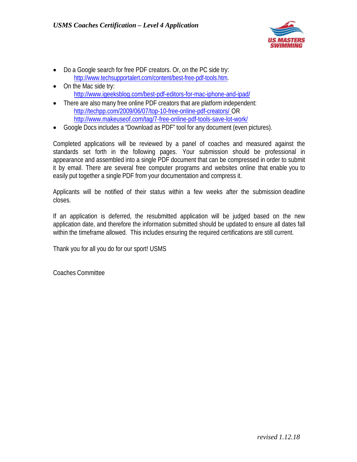

- Do a Google search for free PDF creators. Or, on the PC side try: [http://www.techsupportalert.com/content/best-free-pdf-tools.htm.](http://www.techsupportalert.com/content/best-free-pdf-tools.htm)
- On the Mac side try: <http://www.igeeksblog.com/best-pdf-editors-for-mac-iphone-and-ipad/>
- There are also many free online PDF creators that are platform independent: <http://techpp.com/2009/06/07/top-10-free-online-pdf-creators/> OR <http://www.makeuseof.com/tag/7-free-online-pdf-tools-save-lot-work/>
- Google Docs includes a "Download as PDF" tool for any document (even pictures).

Completed applications will be reviewed by a panel of coaches and measured against the standards set forth in the following pages. Your submission should be professional in appearance and assembled into a single PDF document that can be compressed in order to submit it by email. There are several free computer programs and websites online that enable you to easily put together a single PDF from your documentation and compress it.

Applicants will be notified of their status within a few weeks after the submission deadline closes.

If an application is deferred, the resubmitted application will be judged based on the new application date, and therefore the information submitted should be updated to ensure all dates fall within the timeframe allowed. This includes ensuring the required certifications are still current.

Thank you for all you do for our sport! USMS

Coaches Committee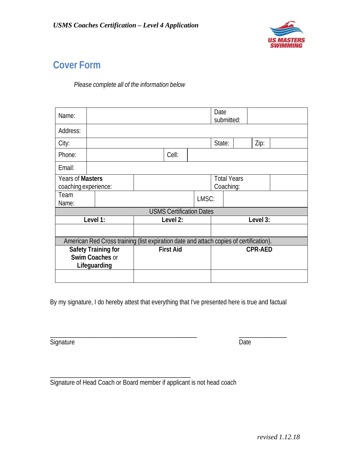

# **Cover Form**

*Please complete all of the information below*

| Name:                                                                                  |  |                  |       | Date<br>submitted:              |          |  |        |  |      |  |
|----------------------------------------------------------------------------------------|--|------------------|-------|---------------------------------|----------|--|--------|--|------|--|
| Address:                                                                               |  |                  |       |                                 |          |  |        |  |      |  |
| City:                                                                                  |  |                  |       |                                 |          |  | State: |  | Zip: |  |
| Phone:                                                                                 |  |                  |       | Cell:                           |          |  |        |  |      |  |
| Email:                                                                                 |  |                  |       |                                 |          |  |        |  |      |  |
| Years of Masters<br>coaching experience:                                               |  |                  |       | <b>Total Years</b><br>Coaching: |          |  |        |  |      |  |
| Team<br>Name:                                                                          |  |                  | LMSC: |                                 |          |  |        |  |      |  |
| <b>USMS Certification Dates</b>                                                        |  |                  |       |                                 |          |  |        |  |      |  |
| Level 1:                                                                               |  | Level 2:         |       |                                 | Level 3: |  |        |  |      |  |
|                                                                                        |  |                  |       |                                 |          |  |        |  |      |  |
| American Red Cross training (list expiration date and attach copies of certification). |  |                  |       |                                 |          |  |        |  |      |  |
| <b>Safety Training for</b><br>Swim Coaches or<br>Lifeguarding                          |  | <b>First Aid</b> |       | <b>CPR-AED</b>                  |          |  |        |  |      |  |
|                                                                                        |  |                  |       |                                 |          |  |        |  |      |  |

By my signature, I do hereby attest that everything that I've presented here is true and factual

\_\_\_\_\_\_\_\_\_\_\_\_\_\_\_\_\_\_\_\_\_\_\_\_\_\_\_\_\_\_\_\_\_\_\_\_\_\_\_\_\_\_\_\_\_\_ \_\_\_\_\_\_\_\_\_\_\_\_\_\_\_

Signature Date

\_\_\_\_\_\_\_\_\_\_\_\_\_\_\_\_\_\_\_\_\_\_\_\_\_\_\_\_\_\_\_\_\_\_\_\_\_\_\_\_\_\_\_\_ Signature of Head Coach or Board member if applicant is not head coach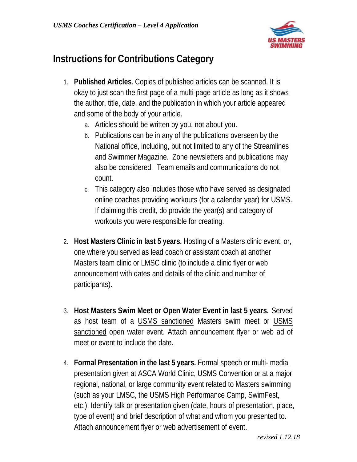

# **Instructions for Contributions Category**

- 1. **Published Articles**. Copies of published articles can be scanned. It is okay to just scan the first page of a multi-page article as long as it shows the author, title, date, and the publication in which your article appeared and some of the body of your article.
	- a. Articles should be written by you, not about you.
	- b. Publications can be in any of the publications overseen by the National office, including, but not limited to any of the Streamlines and Swimmer Magazine. Zone newsletters and publications may also be considered. Team emails and communications do not count.
	- c. This category also includes those who have served as designated online coaches providing workouts (for a calendar year) for USMS. If claiming this credit, do provide the year(s) and category of workouts you were responsible for creating.
- 2. **Host Masters Clinic in last 5 years.** Hosting of a Masters clinic event, or, one where you served as lead coach or assistant coach at another Masters team clinic or LMSC clinic (to include a clinic flyer or web announcement with dates and details of the clinic and number of participants).
- 3. **Host Masters Swim Meet or Open Water Event in last 5 years.** Served as host team of a USMS sanctioned Masters swim meet or USMS sanctioned open water event. Attach announcement flyer or web ad of meet or event to include the date.
- 4. **Formal Presentation in the last 5 years.** Formal speech or multi- media presentation given at ASCA World Clinic, USMS Convention or at a major regional, national, or large community event related to Masters swimming (such as your LMSC, the USMS High Performance Camp, SwimFest, etc.). Identify talk or presentation given (date, hours of presentation, place, type of event) and brief description of what and whom you presented to. Attach announcement flyer or web advertisement of event.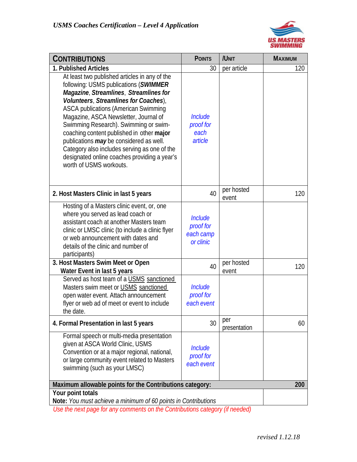

| <b>CONTRIBUTIONS</b>                                                                                                                                                                                                                                                                                                                                                                                                                                                                                                          | <b>POINTS</b>                                         | /UNIT               | <b>MAXIMUM</b> |
|-------------------------------------------------------------------------------------------------------------------------------------------------------------------------------------------------------------------------------------------------------------------------------------------------------------------------------------------------------------------------------------------------------------------------------------------------------------------------------------------------------------------------------|-------------------------------------------------------|---------------------|----------------|
| 1. Published Articles                                                                                                                                                                                                                                                                                                                                                                                                                                                                                                         | 30                                                    | per article         | 120            |
| At least two published articles in any of the<br>following: USMS publications (SWIMMER<br>Magazine, Streamlines, Streamlines for<br>Volunteers, Streamlines for Coaches),<br><b>ASCA publications (American Swimming</b><br>Magazine, ASCA Newsletter, Journal of<br>Swimming Research). Swimming or swim-<br>coaching content published in other major<br>publications may be considered as well.<br>Category also includes serving as one of the<br>designated online coaches providing a year's<br>worth of USMS workouts. | <b>Include</b><br>proof for<br>each<br>article        |                     |                |
| 2. Host Masters Clinic in last 5 years                                                                                                                                                                                                                                                                                                                                                                                                                                                                                        | 40                                                    | per hosted<br>event | 120            |
| Hosting of a Masters clinic event, or, one<br>where you served as lead coach or<br>assistant coach at another Masters team<br>clinic or LMSC clinic (to include a clinic flyer<br>or web announcement with dates and<br>details of the clinic and number of<br>participants)                                                                                                                                                                                                                                                  | <b>Include</b><br>proof for<br>each camp<br>or clinic |                     |                |
| 3. Host Masters Swim Meet or Open<br>Water Event in last 5 years                                                                                                                                                                                                                                                                                                                                                                                                                                                              | 40                                                    | per hosted<br>event | 120            |
| Served as host team of a USMS sanctioned<br>Masters swim meet or USMS sanctioned<br>open water event. Attach announcement<br>flyer or web ad of meet or event to include<br>the date.                                                                                                                                                                                                                                                                                                                                         | <b>Include</b><br>proof for<br>each event             |                     |                |
| 4. Formal Presentation in last 5 years                                                                                                                                                                                                                                                                                                                                                                                                                                                                                        | 30                                                    | per<br>presentation | 60             |
| Formal speech or multi-media presentation<br>given at ASCA World Clinic, USMS<br>Convention or at a major regional, national,<br>or large community event related to Masters<br>swimming (such as your LMSC)                                                                                                                                                                                                                                                                                                                  | <b>Include</b><br>proof for<br>each event             |                     |                |
| Maximum allowable points for the Contributions category:                                                                                                                                                                                                                                                                                                                                                                                                                                                                      |                                                       |                     | 200            |
| Your point totals<br>Note: You must achieve a minimum of 60 points in Contributions                                                                                                                                                                                                                                                                                                                                                                                                                                           |                                                       |                     |                |

*Use the next page for any comments on the Contributions category (if needed)*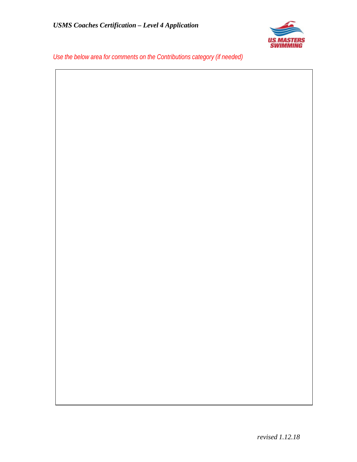

*Use the below area for comments on the Contributions category (if needed)*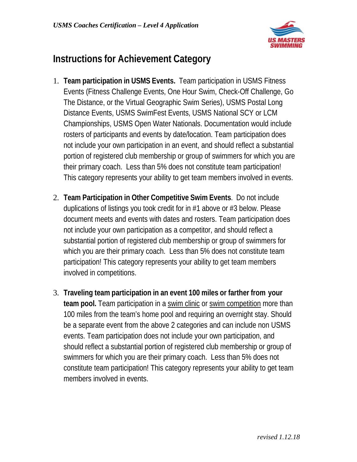

### **Instructions for Achievement Category**

- 1. **Team participation in USMS Events.** Team participation in USMS Fitness Events (Fitness Challenge Events, One Hour Swim, Check-Off Challenge, Go The Distance, or the Virtual Geographic Swim Series), USMS Postal Long Distance Events, USMS SwimFest Events, USMS National SCY or LCM Championships, USMS Open Water Nationals. Documentation would include rosters of participants and events by date/location. Team participation does not include your own participation in an event, and should reflect a substantial portion of registered club membership or group of swimmers for which you are their primary coach. Less than 5% does not constitute team participation! This category represents your ability to get team members involved in events.
- 2. **Team Participation in Other Competitive Swim Events**. Do not include duplications of listings you took credit for in #1 above or #3 below. Please document meets and events with dates and rosters. Team participation does not include your own participation as a competitor, and should reflect a substantial portion of registered club membership or group of swimmers for which you are their primary coach. Less than 5% does not constitute team participation! This category represents your ability to get team members involved in competitions.
- 3. **Traveling team participation in an event 100 miles or farther from your team pool.** Team participation in a swim clinic or swim competition more than 100 miles from the team's home pool and requiring an overnight stay. Should be a separate event from the above 2 categories and can include non USMS events. Team participation does not include your own participation, and should reflect a substantial portion of registered club membership or group of swimmers for which you are their primary coach. Less than 5% does not constitute team participation! This category represents your ability to get team members involved in events.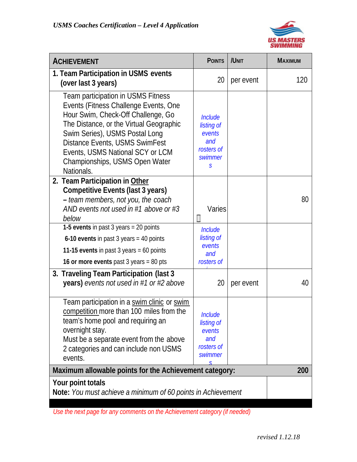

| <b>ACHIEVEMENT</b>                                                                                                                                                                                                                                                                                                   | <b>POINTS</b>                                                               | /UNIT     | <b>MAXIMUM</b> |
|----------------------------------------------------------------------------------------------------------------------------------------------------------------------------------------------------------------------------------------------------------------------------------------------------------------------|-----------------------------------------------------------------------------|-----------|----------------|
| 1. Team Participation in USMS events<br>(over last 3 years)                                                                                                                                                                                                                                                          | 20                                                                          | per event | 120            |
| Team participation in USMS Fitness<br>Events (Fitness Challenge Events, One<br>Hour Swim, Check-Off Challenge, Go<br>The Distance, or the Virtual Geographic<br>Swim Series), USMS Postal Long<br>Distance Events, USMS SwimFest<br>Events, USMS National SCY or LCM<br>Championships, USMS Open Water<br>Nationals. | <b>Include</b><br>listing of<br>events<br>and<br>rosters of<br>swimmer<br>S |           |                |
| 2. Team Participation in Other<br><b>Competitive Events (last 3 years)</b><br>- team members, not you, the coach<br>AND events not used in #1 above or #3<br>below                                                                                                                                                   | Varies<br>$\Box$                                                            |           | 80             |
| 1-5 events in past 3 years = 20 points<br>6-10 events in past $3$ years = 40 points<br>11-15 events in past 3 years = 60 points<br>16 or more events past 3 years = 80 pts                                                                                                                                           | Include<br>listing of<br>events<br>and<br>rosters of                        |           |                |
| 3. Traveling Team Participation (last 3<br><b>years)</b> events not used in #1 or #2 above                                                                                                                                                                                                                           | 20                                                                          | per event | 40             |
| Team participation in a swim clinic or swim<br>competition more than 100 miles from the<br>team's home pool and requiring an<br>overnight stay.<br>Must be a separate event from the above<br>2 categories and can include non USMS<br>events.                                                                       | Include<br>listing of<br>events<br>and<br>rosters of<br>swimmer<br>ς        |           |                |
| Maximum allowable points for the Achievement category:                                                                                                                                                                                                                                                               | 200                                                                         |           |                |
| Your point totals<br>Note: You must achieve a minimum of 60 points in Achievement                                                                                                                                                                                                                                    |                                                                             |           |                |

*Use the next page for any comments on the Achievement category (if needed)*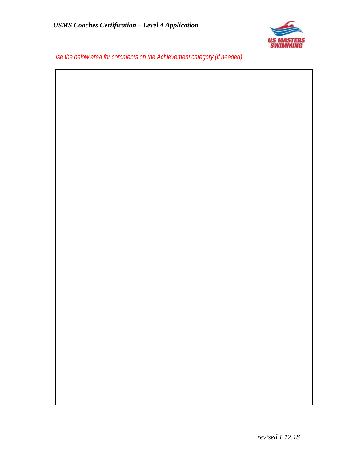

*Use the below area for comments on the Achievement category (if needed)*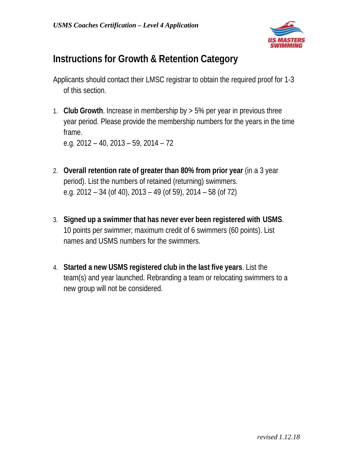

#### **Instructions for Growth & Retention Category**

- Applicants should contact their LMSC registrar to obtain the required proof for 1-3 of this section.
- 1. **Club Growth**. Increase in membership by > 5% per year in previous three year period. Please provide the membership numbers for the years in the time frame.

e.g. 2012 – 40, 2013 – 59, 2014 – 72

- 2. **Overall retention rate of greater than 80% from prior year** (in a 3 year period). List the numbers of retained (returning) swimmers. e.g. 2012 – 34 (of 40), 2013 – 49 (of 59), 2014 – 58 (of 72)
- 3. **Signed up a swimmer that has never ever been registered with USMS**. 10 points per swimmer; maximum credit of 6 swimmers (60 points). List names and USMS numbers for the swimmers.
- 4. **Started a new USMS registered club in the last five years**. List the team(s) and year launched. Rebranding a team or relocating swimmers to a new group will not be considered.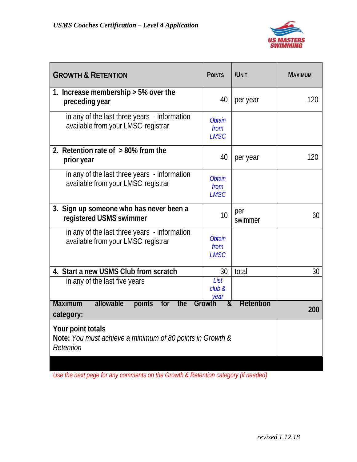

| <b>GROWTH &amp; RETENTION</b>                                                               | <b>POINTS</b>                        | /UNIT          | <b>MAXIMUM</b> |
|---------------------------------------------------------------------------------------------|--------------------------------------|----------------|----------------|
| 1. Increase membership $>$ 5% over the<br>preceding year                                    | 40                                   | per year       | 120            |
| in any of the last three years - information<br>available from your LMSC registrar          | <b>Obtain</b><br>from<br><b>LMSC</b> |                |                |
| 2. Retention rate of $>80\%$ from the<br>prior year                                         | 40                                   | per year       | 120            |
| in any of the last three years - information<br>available from your LMSC registrar          | <b>Obtain</b><br>from<br><b>LMSC</b> |                |                |
| 3. Sign up someone who has never been a<br>registered USMS swimmer                          | 10                                   | per<br>swimmer | 60             |
| in any of the last three years - information<br>available from your LMSC registrar          | <b>Obtain</b><br>from<br><b>LMSC</b> |                |                |
| 4. Start a new USMS Club from scratch                                                       | 30                                   | total          | 30             |
| in any of the last five years                                                               | List<br>club &<br>vear               |                |                |
| <b>Maximum</b><br>allowable<br>points<br>the<br>for<br>category:                            | &<br>Growth                          | Retention      | 200            |
| Your point totals<br>Note: You must achieve a minimum of 80 points in Growth &<br>Retention |                                      |                |                |

*Use the next page for any comments on the Growth & Retention category (if needed)*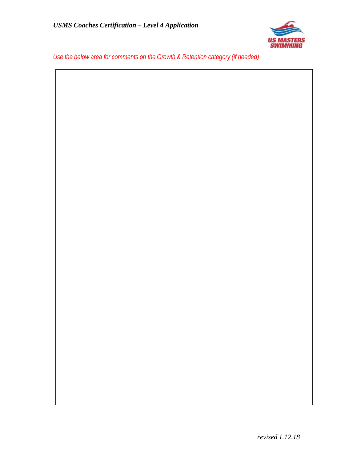

*Use the below area for comments on the Growth & Retention category (if needed)*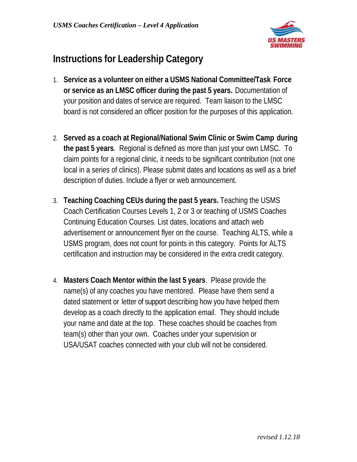

# **Instructions for Leadership Category**

- 1. **Service as a volunteer on either a USMS National Committee/Task Force or service as an LMSC officer during the past 5 years.** Documentation of your position and dates of service are required. Team liaison to the LMSC board is not considered an officer position for the purposes of this application.
- 2. **Served as a coach at Regional/National Swim Clinic or Swim Camp during the past 5 years**. Regional is defined as more than just your own LMSC. To claim points for a regional clinic, it needs to be significant contribution (not one local in a series of clinics). Please submit dates and locations as well as a brief description of duties. Include a flyer or web announcement.
- 3. **Teaching Coaching CEUs during the past 5 years.** Teaching the USMS Coach Certification Courses Levels 1, 2 or 3 or teaching of USMS Coaches Continuing Education Courses. List dates, locations and attach web advertisement or announcement flyer on the course. Teaching ALTS, while a USMS program, does not count for points in this category. Points for ALTS certification and instruction may be considered in the extra credit category.
- 4. **Masters Coach Mentor within the last 5 years**. Please provide the name(s) of any coaches you have mentored. Please have them send a dated statement or letter of support describing how you have helped them develop as a coach directly to the application email. They should include your name and date at the top. These coaches should be coaches from team(s) other than your own. Coaches under your supervision or USA/USAT coaches connected with your club will not be considered.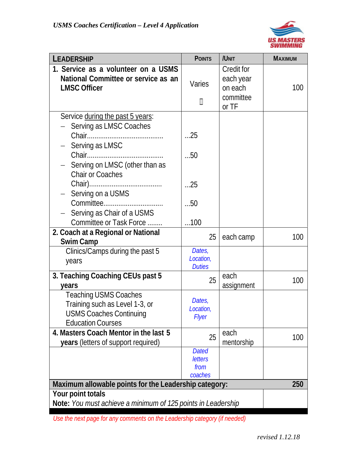

| <b>LEADERSHIP</b>                                                                                                                           | <b>POINTS</b>                                     | /UNIT                                                           | <b>MAXIMUM</b> |
|---------------------------------------------------------------------------------------------------------------------------------------------|---------------------------------------------------|-----------------------------------------------------------------|----------------|
| 1. Service as a volunteer on a USMS<br>National Committee or service as an<br><b>LMSC Officer</b>                                           | Varies<br>◫                                       | <b>Credit for</b><br>each year<br>on each<br>committee<br>or TF | 100            |
| Service during the past 5 years:<br>Serving as LMSC Coaches<br>Serving as LMSC<br>Serving on LMSC (other than as<br><b>Chair or Coaches</b> | 25<br>50                                          |                                                                 |                |
| Serving on a USMS<br>Serving as Chair of a USMS<br>Committee or Task Force                                                                  | 25<br>50<br>100                                   |                                                                 |                |
| 2. Coach at a Regional or National<br><b>Swim Camp</b>                                                                                      | 25                                                | each camp                                                       | 100            |
| Clinics/Camps during the past 5<br>years                                                                                                    | Dates,<br>Location,<br><b>Duties</b>              |                                                                 |                |
| 3. Teaching Coaching CEUs past 5<br>vears                                                                                                   | 25                                                | each<br>assignment                                              | 100            |
| <b>Teaching USMS Coaches</b><br>Training such as Level 1-3, or<br><b>USMS Coaches Continuing</b><br><b>Education Courses</b>                | Dates,<br>Location,<br><b>Flyer</b>               |                                                                 |                |
| 4. Masters Coach Mentor in the last 5<br><b>years</b> (letters of support required)                                                         | 25                                                | each<br>mentorship                                              | 100            |
|                                                                                                                                             | <b>Dated</b><br><b>letters</b><br>from<br>coaches |                                                                 |                |
| Maximum allowable points for the Leadership category:                                                                                       |                                                   |                                                                 | 250            |
| Your point totals<br>Note: You must achieve a minimum of 125 points in Leadership                                                           |                                                   |                                                                 |                |

*Use the next page for any comments on the Leadership category (if needed)*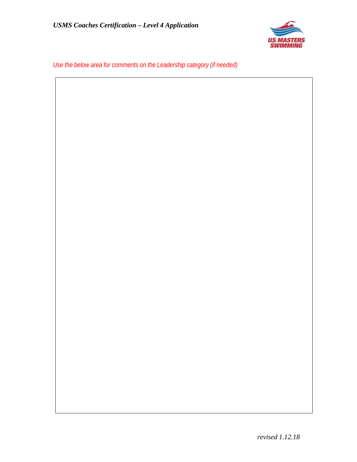

*Use the below area for comments on the Leadership category (if needed)*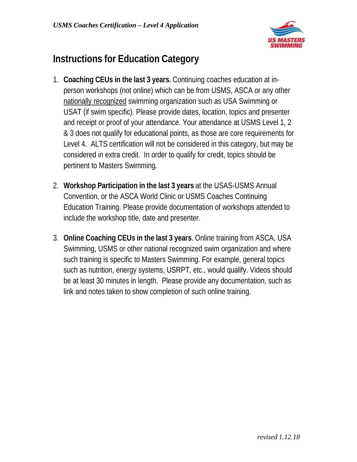

# **Instructions for Education Category**

- 1. **Coaching CEUs in the last 3 years.** Continuing coaches education at inperson workshops (not online) which can be from USMS, ASCA or any other nationally recognized swimming organization such as USA Swimming or USAT (if swim specific). Please provide dates, location, topics and presenter and receipt or proof of your attendance. Your attendance at USMS Level 1, 2 & 3 does not qualify for educational points, as those are core requirements for Level 4. ALTS certification will not be considered in this category, but may be considered in extra credit. In order to qualify for credit, topics should be pertinent to Masters Swimming.
- 2. **Workshop Participation in the last 3 years** at the USAS-USMS Annual Convention, or the ASCA World Clinic or USMS Coaches Continuing Education Training. Please provide documentation of workshops attended to include the workshop title, date and presenter.
- 3. **Online Coaching CEUs in the last 3 years**. Online training from ASCA, USA Swimming, USMS or other national recognized swim organization and where such training is specific to Masters Swimming. For example, general topics such as nutrition, energy systems, USRPT, etc., would qualify. Videos should be at least 30 minutes in length. Please provide any documentation, such as link and notes taken to show completion of such online training.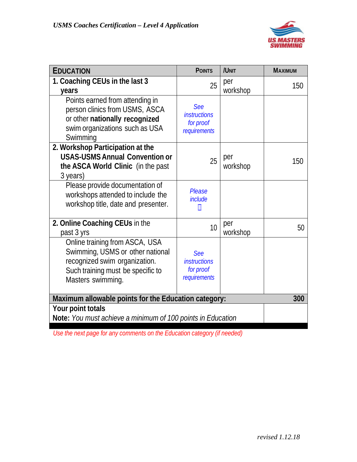

| <b>EDUCATION</b>                                                                                                                                              | <b>POINTS</b>                                           | /UNIT           | <b>MAXIMUM</b> |
|---------------------------------------------------------------------------------------------------------------------------------------------------------------|---------------------------------------------------------|-----------------|----------------|
| 1. Coaching CEUs in the last 3                                                                                                                                | 25                                                      | per             | 150            |
| years                                                                                                                                                         |                                                         | workshop        |                |
| Points earned from attending in<br>person clinics from USMS, ASCA<br>or other nationally recognized<br>swim organizations such as USA<br>Swimming             | See<br><i>instructions</i><br>for proof<br>requirements |                 |                |
| 2. Workshop Participation at the<br><b>USAS-USMS Annual Convention or</b><br>the ASCA World Clinic (in the past<br>3 years)                                   | 25                                                      | per<br>workshop | 150            |
| Please provide documentation of<br>workshops attended to include the<br>workshop title, date and presenter.                                                   | <b>Please</b><br><i>include</i><br>M                    |                 |                |
| 2. Online Coaching CEUs in the<br>past 3 yrs                                                                                                                  | 10                                                      | per<br>workshop | 50             |
| Online training from ASCA, USA<br>Swimming, USMS or other national<br>recognized swim organization.<br>Such training must be specific to<br>Masters swimming. | See<br><i>instructions</i><br>for proof<br>requirements |                 |                |
| Maximum allowable points for the Education category:                                                                                                          | 300                                                     |                 |                |
| Your point totals                                                                                                                                             |                                                         |                 |                |
| Note: You must achieve a minimum of 100 points in Education                                                                                                   |                                                         |                 |                |

*Use the next page for any comments on the Education category (if needed)*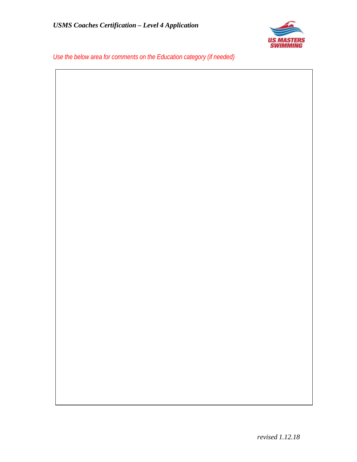

*Use the below area for comments on the Education category (if needed)*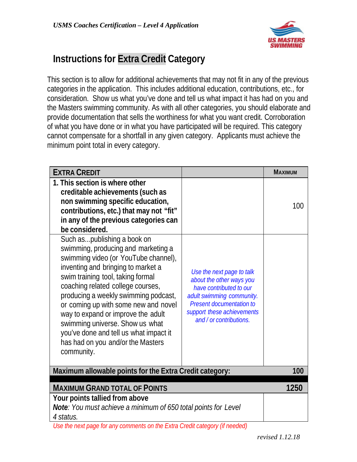

### **Instructions for Extra Credit Category**

This section is to allow for additional achievements that may not fit in any of the previous categories in the application. This includes additional education, contributions, etc., for consideration. Show us what you've done and tell us what impact it has had on you and the Masters swimming community. As with all other categories, you should elaborate and provide documentation that sells the worthiness for what you want credit. Corroboration of what you have done or in what you have participated will be required. This category cannot compensate for a shortfall in any given category. Applicants must achieve the minimum point total in every category.

| <b>EXTRA CREDIT</b>                                                                                                                                                                                                                                                                                                                                                                                                                                                              |                                                                                                                                                                                                           | <b>MAXIMUM</b> |  |  |
|----------------------------------------------------------------------------------------------------------------------------------------------------------------------------------------------------------------------------------------------------------------------------------------------------------------------------------------------------------------------------------------------------------------------------------------------------------------------------------|-----------------------------------------------------------------------------------------------------------------------------------------------------------------------------------------------------------|----------------|--|--|
| 1. This section is where other<br>creditable achievements (such as<br>non swimming specific education,<br>contributions, etc.) that may not "fit"<br>in any of the previous categories can<br>be considered.                                                                                                                                                                                                                                                                     |                                                                                                                                                                                                           | 100            |  |  |
| Such aspublishing a book on<br>swimming, producing and marketing a<br>swimming video (or YouTube channel),<br>inventing and bringing to market a<br>swim training tool, taking formal<br>coaching related college courses,<br>producing a weekly swimming podcast,<br>or coming up with some new and novel<br>way to expand or improve the adult<br>swimming universe. Show us what<br>you've done and tell us what impact it<br>has had on you and/or the Masters<br>community. | Use the next page to talk<br>about the other ways you<br>have contributed to our<br>adult swimming community.<br><b>Present documentation to</b><br>support these achievements<br>and / or contributions. |                |  |  |
| Maximum allowable points for the Extra Credit category:<br>100                                                                                                                                                                                                                                                                                                                                                                                                                   |                                                                                                                                                                                                           |                |  |  |
| <b>MAXIMUM GRAND TOTAL OF POINTS</b>                                                                                                                                                                                                                                                                                                                                                                                                                                             | 1250                                                                                                                                                                                                      |                |  |  |
| Your points tallied from above                                                                                                                                                                                                                                                                                                                                                                                                                                                   |                                                                                                                                                                                                           |                |  |  |
| Note: You must achieve a minimum of 650 total points for Level<br>4 status.                                                                                                                                                                                                                                                                                                                                                                                                      |                                                                                                                                                                                                           |                |  |  |
| Use the next page for any comments on the Extra Credit category (if needed)                                                                                                                                                                                                                                                                                                                                                                                                      |                                                                                                                                                                                                           |                |  |  |